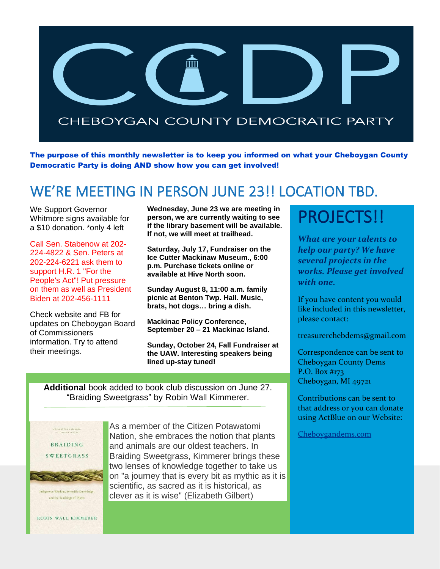

The purpose of this monthly newsletter is to keep you informed on what your Cheboygan County Democratic Party is doing AND show how you can get involved!

## WE'RE MEETING IN PERSON JUNE 23!! LOCATION TBD.

We Support Governor Whitmore signs available for a \$10 donation. \*only 4 left

Call Sen. Stabenow at 202- 224-4822 & Sen. Peters at 202-224-6221 ask them to support H.R. 1 "For the People's Act"! Put pressure on them as well as President Biden at 202-456-1111

Check website and FB for updates on Cheboygan Board of Commissioners information. Try to attend their meetings.

**Wednesday, June 23 we are meeting in person, we are currently waiting to see if the library basement will be available. If not, we will meet at trailhead.**

**Saturday, July 17, Fundraiser on the Ice Cutter Mackinaw Museum., 6:00 p.m. Purchase tickets online or available at Hive North soon.**

**Sunday August 8, 11:00 a.m. family picnic at Benton Twp. Hall. Music, brats, hot dogs… bring a dish.**

**Mackinac Policy Conference, September 20 – 21 Mackinac Island.**

**Sunday, October 24, Fall Fundraiser at the UAW. Interesting speakers being lined up-stay tuned!**

**Additional** book added to book club discussion on June 27. "Braiding Sweetgrass" by Robin Wall Kimmerer.



As a member of the Citizen Potawatomi Nation, she embraces the notion that plants and animals are our oldest teachers. In Braiding Sweetgrass, Kimmerer brings these two lenses of knowledge together to take us on "a journey that is every bit as mythic as it is scientific, as sacred as it is historical, as clever as it is wise" (Elizabeth Gilbert)

## PROJECTS!!

*What are your talents to help our party? We have several projects in the works. Please get involved with one.*

If you have content you would like included in this newsletter, please contact:

treasurerchebdems@gmail.com

Correspondence can be sent to Cheboygan County Dems P.O. Box #173 Cheboygan, MI 49721

Contributions can be sent to that address or you can donate using ActBlue on our Website:

[Cheboygandems.com](http://www.cheboygandems.com/)

ROBIN WALL KIMMERER

ous Wisdom, Scientific Knowledge and the Teachings of Plants